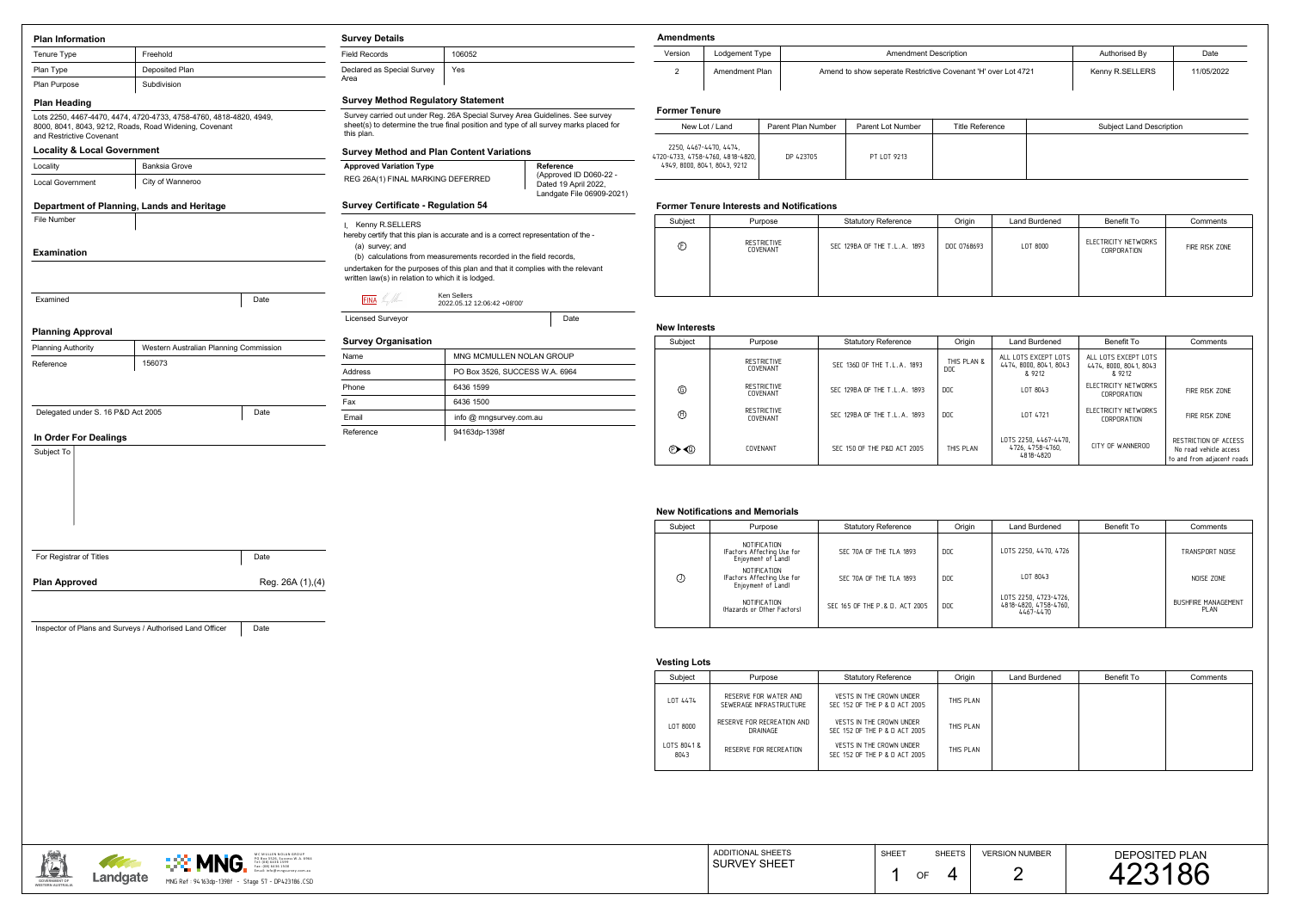**GOVERNMENT OFWESTERN AUSTRALIA**



## **Former Tenure Interests and Notifications**

| New Lot / Land                                                                               | Parent Plan Number | Parent Lot Number | Title Reference | Subject Land Description |
|----------------------------------------------------------------------------------------------|--------------------|-------------------|-----------------|--------------------------|
| 2250, 4467-4470, 4474,<br>4720-4733, 4758-4760, 4818-4820,  <br>4949, 8000, 8041, 8043, 9212 | DP 423705          | PT LOT 9213       |                 |                          |

## **New Notifications and Memorials**

|                | 1C MULLEN NOLAN GROUP<br>O Box 3526, Success W.A. 6964<br><b>MNG</b><br>el: (08) 6436 1599 | <b>ADDITIONAL SHEETS</b> | <b>SHEET</b> | $\bigcap_{i=1}^n$ $\bigcap_{i=1}^n$ $\bigcap_{i=1}^n$ | <b>VERSION NUMBEF</b> | <b>DEPOSITED PLAN</b> |
|----------------|--------------------------------------------------------------------------------------------|--------------------------|--------------|-------------------------------------------------------|-----------------------|-----------------------|
| <b>AND AND</b> | T T<br>(08) 6436 150<br><b>Contract Contract Contract Contract</b><br>fo@mngsurvey.com.au  | <b>JURVEY SHEET</b>      |              | $\sim$ $\sim$                                         |                       |                       |
| Landgate       | MNG Re<br>Stage 57 - DP423186.CSD<br>94 163dp- 1398f                                       |                          |              |                                                       | __                    |                       |

| <b>Plan Information</b>                            |                                                                                                                              |                   | <b>Survey Details</b>                                                                                                                                                               |                                                                   |      | <b>Amendments</b>                           |                                     |
|----------------------------------------------------|------------------------------------------------------------------------------------------------------------------------------|-------------------|-------------------------------------------------------------------------------------------------------------------------------------------------------------------------------------|-------------------------------------------------------------------|------|---------------------------------------------|-------------------------------------|
| Tenure Type                                        | Freehold                                                                                                                     |                   | <b>Field Records</b>                                                                                                                                                                | 106052                                                            |      | Version                                     | L)                                  |
| Plan Type                                          | Deposited Plan                                                                                                               |                   | Declared as Special Survey                                                                                                                                                          | Yes                                                               |      | $\overline{2}$                              | A                                   |
| Plan Purpose                                       | Subdivision                                                                                                                  |                   | Area                                                                                                                                                                                |                                                                   |      |                                             |                                     |
| <b>Plan Heading</b>                                |                                                                                                                              |                   | <b>Survey Method Regulatory Statement</b>                                                                                                                                           |                                                                   |      |                                             |                                     |
|                                                    | Lots 2250, 4467-4470, 4474, 4720-4733, 4758-4760, 4818-4820, 4949,<br>8000, 8041, 8043, 9212, Roads, Road Widening, Covenant |                   | Survey carried out under Reg. 26A Special Survey Area Guidelines. See survey<br>sheet(s) to determine the true final position and type of all survey marks placed for<br>this plan. |                                                                   |      |                                             | <b>Former Tenure</b><br>New Lot / L |
| and Restrictive Covenant                           |                                                                                                                              |                   |                                                                                                                                                                                     |                                                                   |      | 2250, 4467-4470,                            |                                     |
| <b>Locality &amp; Local Government</b><br>Locality | <b>Banksia Grove</b>                                                                                                         |                   | <b>Survey Method and Plan Content Variations</b>                                                                                                                                    |                                                                   |      | 4720-4733, 4758-4760<br>4949, 8000, 8041, 8 |                                     |
| <b>Local Government</b>                            | City of Wanneroo                                                                                                             |                   | <b>Reference</b><br><b>Approved Variation Type</b><br>(Approved ID D060-22 -<br>REG 26A(1) FINAL MARKING DEFERRED<br>Dated 19 April 2022,<br>Landgate File 06909-2021)              |                                                                   |      |                                             |                                     |
|                                                    | Department of Planning, Lands and Heritage                                                                                   |                   | <b>Survey Certificate - Regulation 54</b>                                                                                                                                           |                                                                   |      | <b>Former Tenure</b>                        |                                     |
| File Number                                        |                                                                                                                              |                   | I, Kenny R.SELLERS                                                                                                                                                                  |                                                                   |      | Subject                                     |                                     |
|                                                    |                                                                                                                              |                   | hereby certify that this plan is accurate and is a correct representation of the -                                                                                                  |                                                                   |      |                                             |                                     |
| <b>Examination</b>                                 |                                                                                                                              |                   | (a) survey; and                                                                                                                                                                     | (b) calculations from measurements recorded in the field records, |      | $^{\circledR}$                              |                                     |
|                                                    |                                                                                                                              |                   | undertaken for the purposes of this plan and that it complies with the relevant<br>written law(s) in relation to which it is lodged.                                                |                                                                   |      |                                             |                                     |
| Examined                                           |                                                                                                                              | Date              | $FINA$ $\mathbb{Z}/M$                                                                                                                                                               | Ken Sellers<br>2022.05.12 12:06:42 +08'00'                        |      |                                             |                                     |
|                                                    |                                                                                                                              |                   | <b>Licensed Surveyor</b>                                                                                                                                                            |                                                                   | Date |                                             |                                     |
| <b>Planning Approval</b>                           |                                                                                                                              |                   | <b>Survey Organisation</b>                                                                                                                                                          |                                                                   |      | <b>New Interests</b>                        |                                     |
| <b>Planning Authority</b>                          | Western Australian Planning Commission                                                                                       |                   | Name                                                                                                                                                                                | MNG MCMULLEN NOLAN GROUP                                          |      | Subject                                     |                                     |
| Reference                                          | 156073                                                                                                                       |                   | Address                                                                                                                                                                             | PO Box 3526, SUCCESS W.A. 6964                                    |      |                                             |                                     |
|                                                    |                                                                                                                              |                   | Phone                                                                                                                                                                               | 6436 1599                                                         |      | $^{\circledR}$                              |                                     |
|                                                    |                                                                                                                              |                   | Fax                                                                                                                                                                                 | 6436 1500                                                         |      |                                             |                                     |
| Delegated under S. 16 P&D Act 2005                 |                                                                                                                              | Date              | info @ mngsurvey.com.au<br>Email                                                                                                                                                    |                                                                   |      | $\oplus$                                    |                                     |
| In Order For Dealings                              |                                                                                                                              |                   | Reference                                                                                                                                                                           | 94163dp-1398f                                                     |      |                                             |                                     |
| Subject To                                         |                                                                                                                              |                   |                                                                                                                                                                                     |                                                                   |      | $\mathbb{O}$                                |                                     |
|                                                    |                                                                                                                              |                   |                                                                                                                                                                                     |                                                                   |      |                                             |                                     |
|                                                    |                                                                                                                              |                   |                                                                                                                                                                                     |                                                                   |      | <b>New Notificatio</b><br>Subject           |                                     |
|                                                    |                                                                                                                              |                   |                                                                                                                                                                                     |                                                                   |      |                                             |                                     |
| For Registrar of Titles                            |                                                                                                                              | Date              |                                                                                                                                                                                     |                                                                   |      |                                             |                                     |
| <b>Plan Approved</b>                               |                                                                                                                              | Reg. 26A (1), (4) |                                                                                                                                                                                     |                                                                   |      | $\odot$                                     |                                     |
|                                                    |                                                                                                                              |                   |                                                                                                                                                                                     |                                                                   |      |                                             |                                     |
|                                                    |                                                                                                                              |                   |                                                                                                                                                                                     |                                                                   |      |                                             |                                     |
|                                                    | Inspector of Plans and Surveys / Authorised Land Officer                                                                     | Date              |                                                                                                                                                                                     |                                                                   |      |                                             |                                     |
|                                                    |                                                                                                                              |                   |                                                                                                                                                                                     |                                                                   |      | <b>Vesting Lots</b>                         |                                     |
|                                                    |                                                                                                                              |                   |                                                                                                                                                                                     |                                                                   |      | Subject                                     |                                     |
|                                                    |                                                                                                                              |                   |                                                                                                                                                                                     |                                                                   |      |                                             |                                     |
|                                                    |                                                                                                                              |                   |                                                                                                                                                                                     |                                                                   |      | LOT 4474                                    |                                     |
|                                                    |                                                                                                                              |                   |                                                                                                                                                                                     |                                                                   |      | LOT 8000                                    | F                                   |
|                                                    |                                                                                                                              |                   |                                                                                                                                                                                     |                                                                   |      | LOTS 8041&<br>8043                          |                                     |
|                                                    |                                                                                                                              |                   |                                                                                                                                                                                     |                                                                   |      |                                             |                                     |
|                                                    |                                                                                                                              |                   |                                                                                                                                                                                     |                                                                   |      |                                             |                                     |

| ndments! |                |                                                               |                 |            |  |  |  |
|----------|----------------|---------------------------------------------------------------|-----------------|------------|--|--|--|
| sion     | Lodgement Type | <b>Amendment Description</b>                                  | Authorised By   | Date       |  |  |  |
|          | Amendment Plan | Amend to show seperate Restrictive Covenant 'H' over Lot 4721 | Kenny R.SELLERS | 11/05/2022 |  |  |  |

| Subject | Purpose                                                          | <b>Statutory Reference</b>     | Origin | Land Burdened                                               | Benefit To | Comments                           |
|---------|------------------------------------------------------------------|--------------------------------|--------|-------------------------------------------------------------|------------|------------------------------------|
|         | NOTIFICATION<br>(Factors Affecting Use for<br>Enjoyment of Land) | SEC 70A OF THE TLA 1893        | DOC    | LOTS 2250, 4470, 4726                                       |            | TRANSPORT NOISE                    |
| $\odot$ | NOTIFICATION<br>(Factors Affecting Use for<br>Enjoyment of Land) | SEC 70A OF THE TLA 1893        | DOC    | LOT 8043                                                    |            | NOISE ZONE                         |
|         | NOTIFICATION<br>(Hazards or Other Factors)                       | SEC 165 OF THE P.& D. ACT 2005 | DOC .  | LOTS 2250, 4723-4726,<br>4818-4820, 4758-4760,<br>4467-4470 |            | <b>BUSHFIRE MANAGEMENT</b><br>PLAN |
|         |                                                                  |                                |        |                                                             |            |                                    |

| pject | Purpose                        | <b>Statutory Reference</b>   | Origin      | Land Burdened | Benefit To                          | Comments       |
|-------|--------------------------------|------------------------------|-------------|---------------|-------------------------------------|----------------|
|       | RESTRICTIVE<br><b>COVENANT</b> | SEC 129BA OF THE T.L.A. 1893 | DOC 0768693 | LOT 8000      | ELECTRICITY NETWORKS<br>CORPORATION | FIRE RISK ZONE |
|       |                                |                              |             |               |                                     |                |

## **Vesting Lots**

| Subject                   | Purpose                 | <b>Statutory Reference</b>   | Origin             | Land Burdened                                            | Benefit To                                               | Comments                                                                      |
|---------------------------|-------------------------|------------------------------|--------------------|----------------------------------------------------------|----------------------------------------------------------|-------------------------------------------------------------------------------|
|                           | RESTRICTIVE<br>COVENANT | SEC 136D OF THE T.L.A. 1893  | THIS PLAN &<br>DOC | ALL LOTS EXCEPT LOTS<br>4474, 8000, 8041, 8043<br>& 9212 | ALL LOTS EXCEPT LOTS<br>4474, 8000, 8041, 8043<br>& 9212 |                                                                               |
| $\circledcirc$            | RESTRICTIVE<br>COVENANT | SEC 129BA OF THE T.L.A. 1893 | <b>DOC</b>         | LOT 8043                                                 | ELECTRICITY NETWORKS<br>CORPORATION                      | FIRE RISK ZONE                                                                |
| $\oplus$                  | RESTRICTIVE<br>COVENANT | SEC 129BA OF THE T.L.A. 1893 | DOC                | LOT 4721                                                 | ELECTRICITY NETWORKS<br>CORPORATION                      | FIRE RISK ZONE                                                                |
| $\mathbb{D}$ $\mathbb{Q}$ | <b>COVENANT</b>         | SEC 150 OF THE P&D ACT 2005  | THIS PLAN          | LOTS 2250, 4467-4470,<br>4726, 4758-4760,<br>4818-4820   | CITY OF WANNEROO                                         | RESTRICTION OF ACCESS<br>No road vehicle access<br>to and from adjacent roads |

| Subject          | Purpose                                          | <b>Statutory Reference</b>                                | Origin    | Land Burdened | Benefit To | Comments |
|------------------|--------------------------------------------------|-----------------------------------------------------------|-----------|---------------|------------|----------|
| OT 4474          | RESERVE FOR WATER AND<br>SEWERAGE INFRASTRUCTURE | VESTS IN THE CROWN UNDER<br>SEC 152 OF THE P & D ACT 2005 | THIS PLAN |               |            |          |
| $.0T$ 8000       | RESERVE FOR RECREATION AND<br>DRAINAGE           | VESTS IN THE CROWN UNDER<br>SEC 152 OF THE P & D ACT 2005 | THIS PLAN |               |            |          |
| TS 8041&<br>8043 | RESERVE FOR RECREATION                           | VESTS IN THE CROWN UNDER<br>SEC 152 OF THE P & D ACT 2005 | THIS PLAN |               |            |          |
|                  |                                                  |                                                           |           |               |            |          |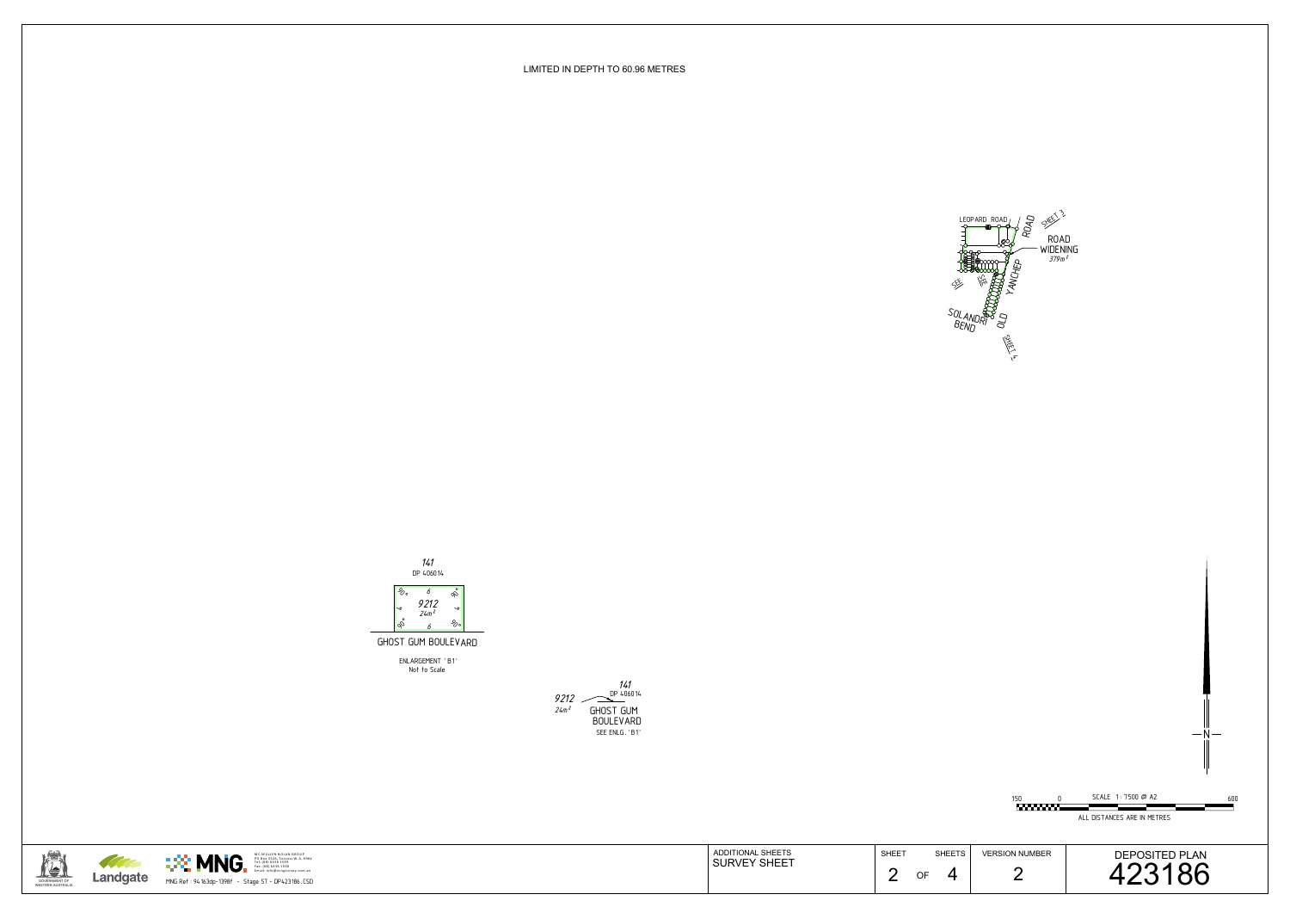ALL DISTANCES ARE IN METRES

0 150 600

SCALE 1 : 7500 @ A2

ADDITIONAL SHEETSSURVEY SHEET







N

LIMITED IN DEPTH TO 60.96 METRES



Not to Scale ENLARGEMENT 'B1'

GHOST GUM BOULEVARD

#### *141* DP 406014



600



2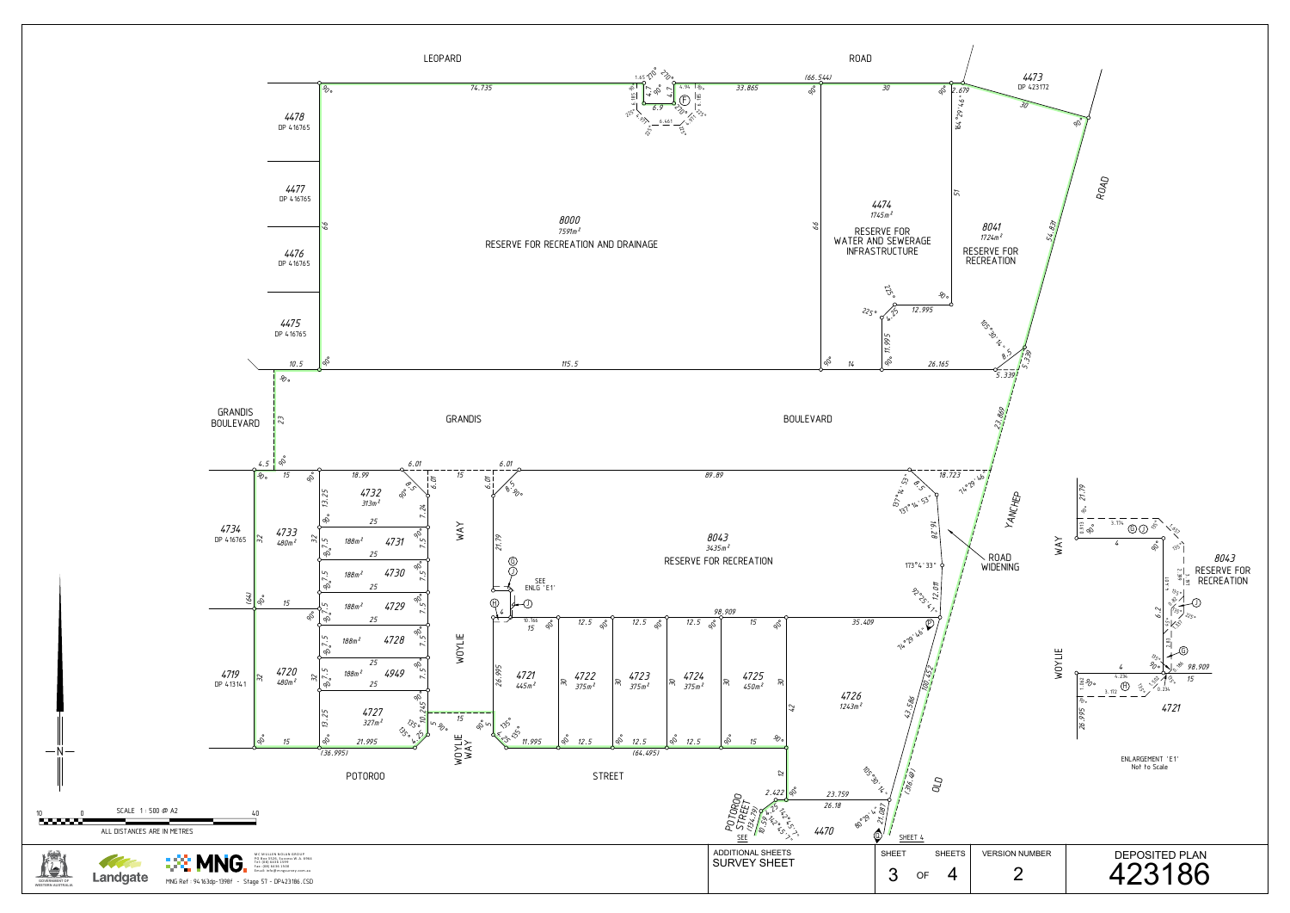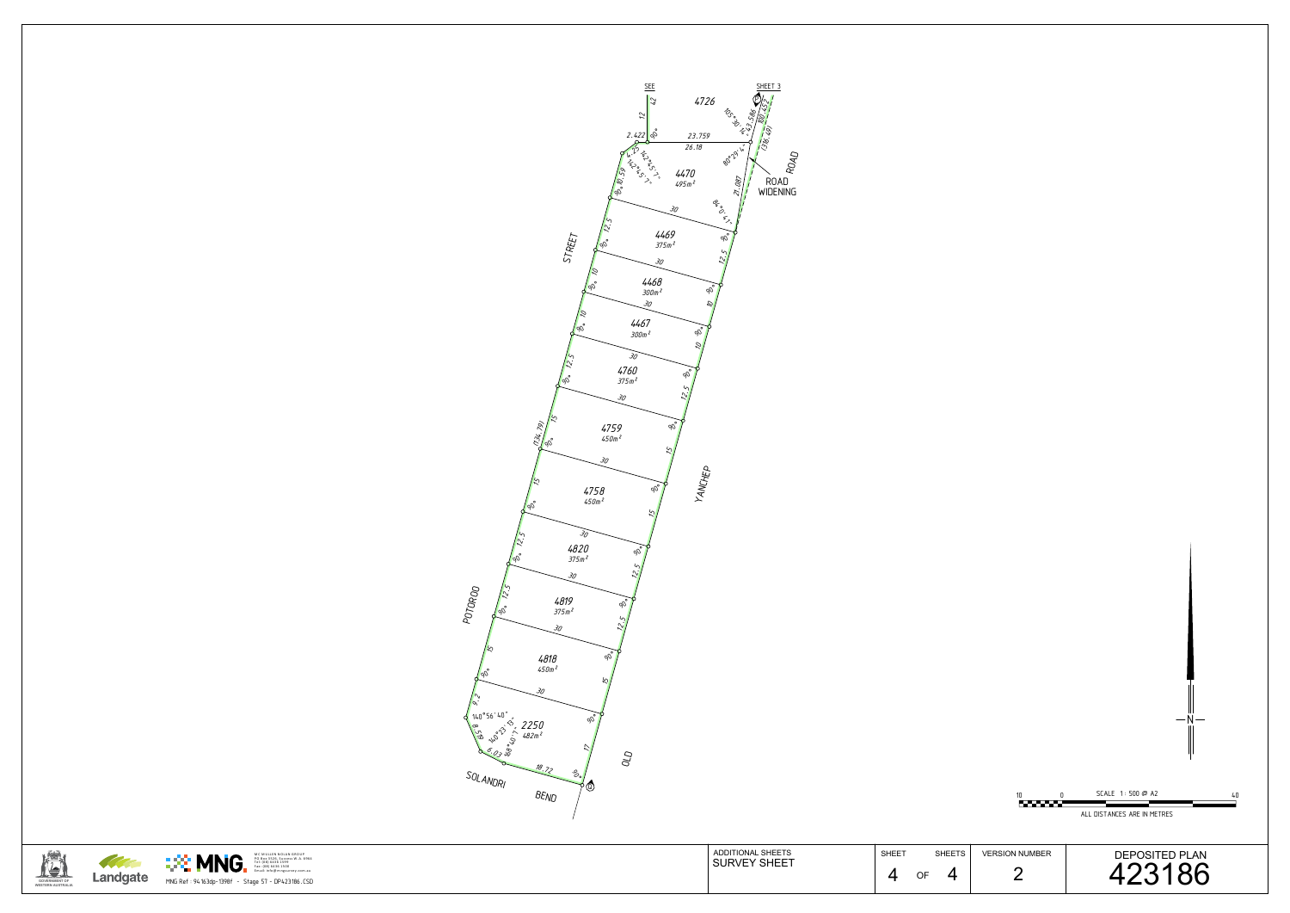

| <b>STREET</b><br>Q,<br>$\omega$<br>$\mathcal{Z}_{\mathcal{O}}$<br>$4759$<br>$450m^2$<br>$\mathbb{Z}/\mathbb{Z}$<br>30<br>$4758$<br>$450m^2$<br>30<br>$4820$<br>375 $m^2$<br>30<br>POTOROO<br>/N<br><b>4819</b><br>375m²<br>$\sqrt{\phi_0}$<br>$\sim$<br>$\infty'$<br>$\mathcal{Z}_{\mathcal{O}}$<br>4818<br>$90^\circ$<br>$450m^2$<br>30<br>$\sim$<br>140°56'40"<br>B 30° 3' 2250<br>$\phi_0$<br>☆<br>06.03.0<br>18.72<br>SOL ANDRI<br>ತ್ತಿ<br><u>၉၈</u><br>BEND | <b>SEE</b><br>$rac{\text{SHEET}}{4}$<br>4726<br>$\mathbb{Z}$<br><b>RSO</b><br>$\tilde{\mathcal{L}}$<br><u>is/2.</u><br>$\sqrt{2}$<br>そご<br>2.42288<br>23.759<br>26.18<br>80°Z9<br>RDAD<br>$\begin{matrix} \gamma_{k} & \gamma_{k} & \gamma_{k} & \gamma_{k} & \gamma_{k} & \gamma_{k} & \gamma_{k} & \gamma_{k} & \gamma_{k} & \gamma_{k} & \gamma_{k} & \gamma_{k} & \gamma_{k} & \gamma_{k} & \gamma_{k} & \gamma_{k} & \gamma_{k} & \gamma_{k} & \gamma_{k} & \gamma_{k} & \gamma_{k} & \gamma_{k} & \gamma_{k} & \gamma_{k} & \gamma_{k} & \gamma_{k} & \gamma_{k} & \gamma_{k} & \gamma_{k} & \gamma_{k} & \gamma_{k} & \gamma_{k} & \gamma_{k} & \gamma_{k} & \gamma_{k} & \gamma_{k}$<br>4470<br><sub>495m</sub> 2<br>21.087<br>ROAD<br>WIDENING<br><b>Processing</b><br>30<br><b>4469</b><br>375 т <sup>2</sup><br>$90^{\circ}$<br>$\zeta$<br>$\sim$<br>30<br>$4468$<br>300m <sup>2</sup><br>$^{d}\!\!\mathscr{O}$<br>30<br>$\mathcal{C}$<br>4467<br><sup>300т 2</sup><br>gO<br>G,<br>30<br>4760<br><sup>375 m 2</sup><br>qÑ<br>$\sim$<br>$\phi_0$<br>YANCHEP<br>$90^\circ$<br>$\sigma_{\mathcal{D}}$ |                                                                  | 10<br><u> Europa establece</u>          | $-\mathsf{N}-$<br>SCALE 1:500 @ A2<br>ALL DISTANCES ARE IN METRES |
|------------------------------------------------------------------------------------------------------------------------------------------------------------------------------------------------------------------------------------------------------------------------------------------------------------------------------------------------------------------------------------------------------------------------------------------------------------------|---------------------------------------------------------------------------------------------------------------------------------------------------------------------------------------------------------------------------------------------------------------------------------------------------------------------------------------------------------------------------------------------------------------------------------------------------------------------------------------------------------------------------------------------------------------------------------------------------------------------------------------------------------------------------------------------------------------------------------------------------------------------------------------------------------------------------------------------------------------------------------------------------------------------------------------------------------------------------------------------------------------------------------------------------------------------------------------------------------------|------------------------------------------------------------------|-----------------------------------------|-------------------------------------------------------------------|
| MC MULLEN NOLAN GROUP<br>PO Box 3526, Success W.A. 6964<br>Tel: (08) 6436 1599<br>Fax: (08) 6436 1500<br>Email: info@mngsurvey.com.au<br><u>∷® MNG.</u><br><b>All Contracts</b><br>Landgate<br>MNG Ref: 94163dp-1398f - Stage 57 - DP423186.CSD                                                                                                                                                                                                                  | ADDITIONAL SHEETS<br>SURVEY SHEET                                                                                                                                                                                                                                                                                                                                                                                                                                                                                                                                                                                                                                                                                                                                                                                                                                                                                                                                                                                                                                                                             | SHEET<br><b>SHEETS</b><br>$\overline{4}$<br>$\overline{4}$<br>OF | <b>VERSION NUMBER</b><br>$\overline{2}$ | DEPOSITED PLAN<br>423186                                          |